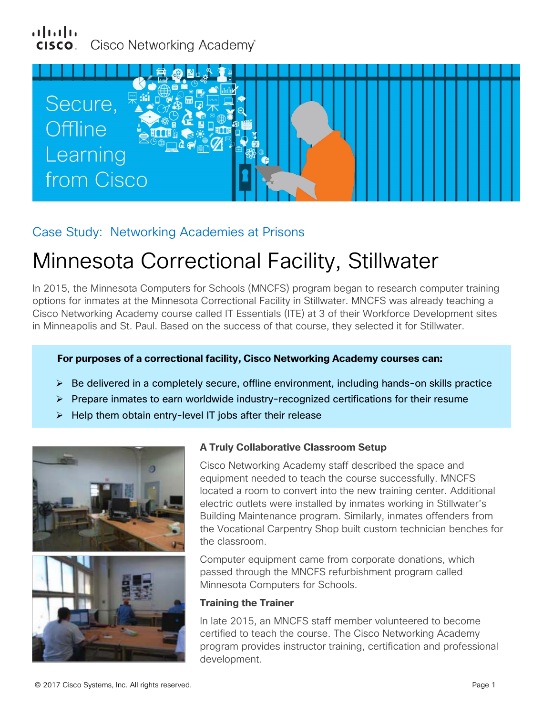# بيرا براي Cisco Networking Academy®



# Case Study: Networking Academies at Prisons

# Minnesota Correctional Facility, Stillwater

In 2015, the Minnesota Computers for Schools (MNCFS) program began to research computer training options for inmates at the Minnesota Correctional Facility in Stillwater. MNCFS was already teaching a Cisco Networking Academy course called IT Essentials (ITE) at 3 of their Workforce Development sites in Minneapolis and St. Paul. Based on the success of that course, they selected it for Stillwater.

## **For purposes of a correctional facility, Cisco Networking Academy courses can:**

- $\triangleright$  Be delivered in a completely secure, offline environment, including hands-on skills practice
- $\triangleright$  Prepare inmates to earn worldwide industry-recognized certifications for their resume
- $\triangleright$  Help them obtain entry-level IT jobs after their release



## **A Truly Collaborative Classroom Setup**

Cisco Networking Academy staff described the space and equipment needed to teach the course successfully. MNCFS located a room to convert into the new training center. Additional electric outlets were installed by inmates working in Stillwater's Building Maintenance program. Similarly, inmates offenders from the Vocational Carpentry Shop built custom technician benches for the classroom.

Computer equipment came from corporate donations, which passed through the MNCFS refurbishment program called Minnesota Computers for Schools.

### **Training the Trainer**

In late 2015, an MNCFS staff member volunteered to become certified to teach the course. The Cisco Networking Academy program provides instructor training, certification and professional development.